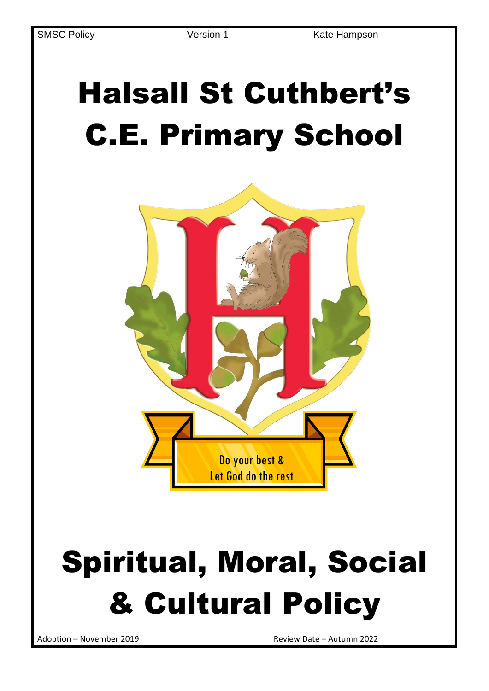# Halsall St Cuthbert's C.E. Primary School



# Spiritual, Moral, Social & Cultural Policy

Adoption – November 2019 Review Date – Autumn 2022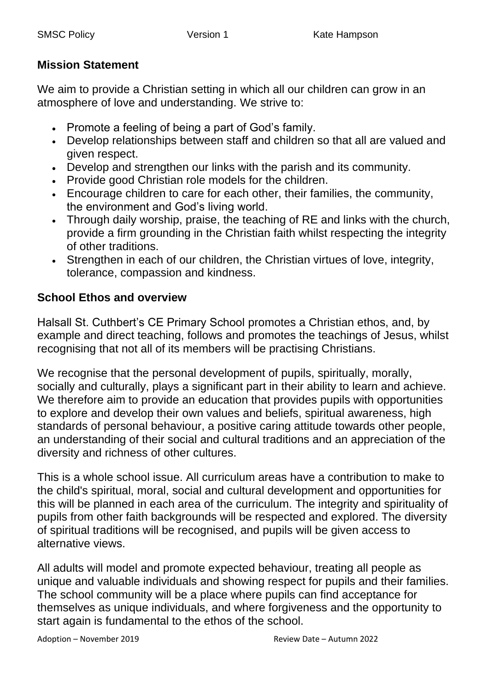### **Mission Statement**

We aim to provide a Christian setting in which all our children can grow in an atmosphere of love and understanding. We strive to:

- Promote a feeling of being a part of God's family.
- Develop relationships between staff and children so that all are valued and given respect.
- Develop and strengthen our links with the parish and its community.
- Provide good Christian role models for the children.
- Encourage children to care for each other, their families, the community, the environment and God's living world.
- Through daily worship, praise, the teaching of RE and links with the church, provide a firm grounding in the Christian faith whilst respecting the integrity of other traditions.
- Strengthen in each of our children, the Christian virtues of love, integrity, tolerance, compassion and kindness.

# **School Ethos and overview**

Halsall St. Cuthbert's CE Primary School promotes a Christian ethos, and, by example and direct teaching, follows and promotes the teachings of Jesus, whilst recognising that not all of its members will be practising Christians.

We recognise that the personal development of pupils, spiritually, morally, socially and culturally, plays a significant part in their ability to learn and achieve. We therefore aim to provide an education that provides pupils with opportunities to explore and develop their own values and beliefs, spiritual awareness, high standards of personal behaviour, a positive caring attitude towards other people, an understanding of their social and cultural traditions and an appreciation of the diversity and richness of other cultures.

This is a whole school issue. All curriculum areas have a contribution to make to the child's spiritual, moral, social and cultural development and opportunities for this will be planned in each area of the curriculum. The integrity and spirituality of pupils from other faith backgrounds will be respected and explored. The diversity of spiritual traditions will be recognised, and pupils will be given access to alternative views.

All adults will model and promote expected behaviour, treating all people as unique and valuable individuals and showing respect for pupils and their families. The school community will be a place where pupils can find acceptance for themselves as unique individuals, and where forgiveness and the opportunity to start again is fundamental to the ethos of the school.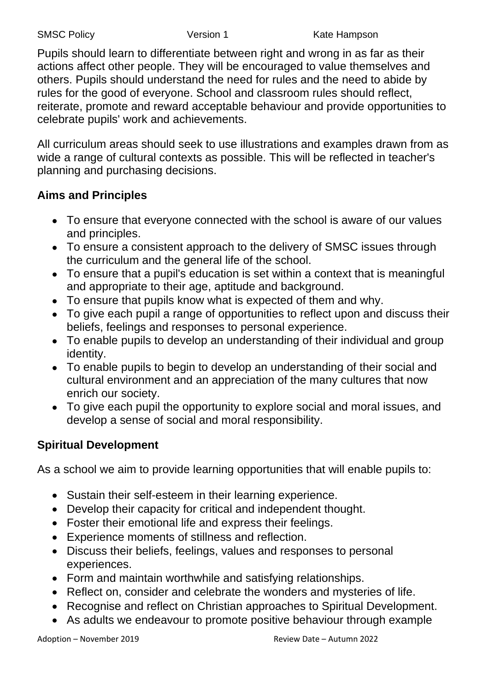Pupils should learn to differentiate between right and wrong in as far as their actions affect other people. They will be encouraged to value themselves and others. Pupils should understand the need for rules and the need to abide by rules for the good of everyone. School and classroom rules should reflect, reiterate, promote and reward acceptable behaviour and provide opportunities to celebrate pupils' work and achievements.

All curriculum areas should seek to use illustrations and examples drawn from as wide a range of cultural contexts as possible. This will be reflected in teacher's planning and purchasing decisions.

### **Aims and Principles**

- To ensure that everyone connected with the school is aware of our values and principles.
- To ensure a consistent approach to the delivery of SMSC issues through the curriculum and the general life of the school.
- To ensure that a pupil's education is set within a context that is meaningful and appropriate to their age, aptitude and background.
- To ensure that pupils know what is expected of them and why.
- To give each pupil a range of opportunities to reflect upon and discuss their beliefs, feelings and responses to personal experience.
- To enable pupils to develop an understanding of their individual and group identity.
- To enable pupils to begin to develop an understanding of their social and cultural environment and an appreciation of the many cultures that now enrich our society.
- To give each pupil the opportunity to explore social and moral issues, and develop a sense of social and moral responsibility.

# **Spiritual Development**

As a school we aim to provide learning opportunities that will enable pupils to:

- Sustain their self-esteem in their learning experience.
- Develop their capacity for critical and independent thought.
- Foster their emotional life and express their feelings.
- Experience moments of stillness and reflection.
- Discuss their beliefs, feelings, values and responses to personal experiences.
- Form and maintain worthwhile and satisfying relationships.
- Reflect on, consider and celebrate the wonders and mysteries of life.
- Recognise and reflect on Christian approaches to Spiritual Development.
- As adults we endeavour to promote positive behaviour through example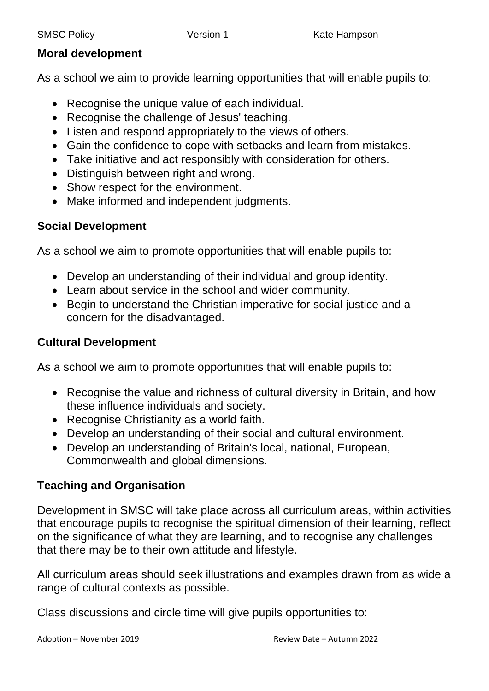### **Moral development**

As a school we aim to provide learning opportunities that will enable pupils to:

- Recognise the unique value of each individual.
- Recognise the challenge of Jesus' teaching.
- Listen and respond appropriately to the views of others.
- Gain the confidence to cope with setbacks and learn from mistakes.
- Take initiative and act responsibly with consideration for others.
- Distinguish between right and wrong.
- Show respect for the environment.
- Make informed and independent judgments.

# **Social Development**

As a school we aim to promote opportunities that will enable pupils to:

- Develop an understanding of their individual and group identity.
- Learn about service in the school and wider community.
- Begin to understand the Christian imperative for social justice and a concern for the disadvantaged.

### **Cultural Development**

As a school we aim to promote opportunities that will enable pupils to:

- Recognise the value and richness of cultural diversity in Britain, and how these influence individuals and society.
- Recognise Christianity as a world faith.
- Develop an understanding of their social and cultural environment.
- Develop an understanding of Britain's local, national, European, Commonwealth and global dimensions.

### **Teaching and Organisation**

Development in SMSC will take place across all curriculum areas, within activities that encourage pupils to recognise the spiritual dimension of their learning, reflect on the significance of what they are learning, and to recognise any challenges that there may be to their own attitude and lifestyle.

All curriculum areas should seek illustrations and examples drawn from as wide a range of cultural contexts as possible.

Class discussions and circle time will give pupils opportunities to: